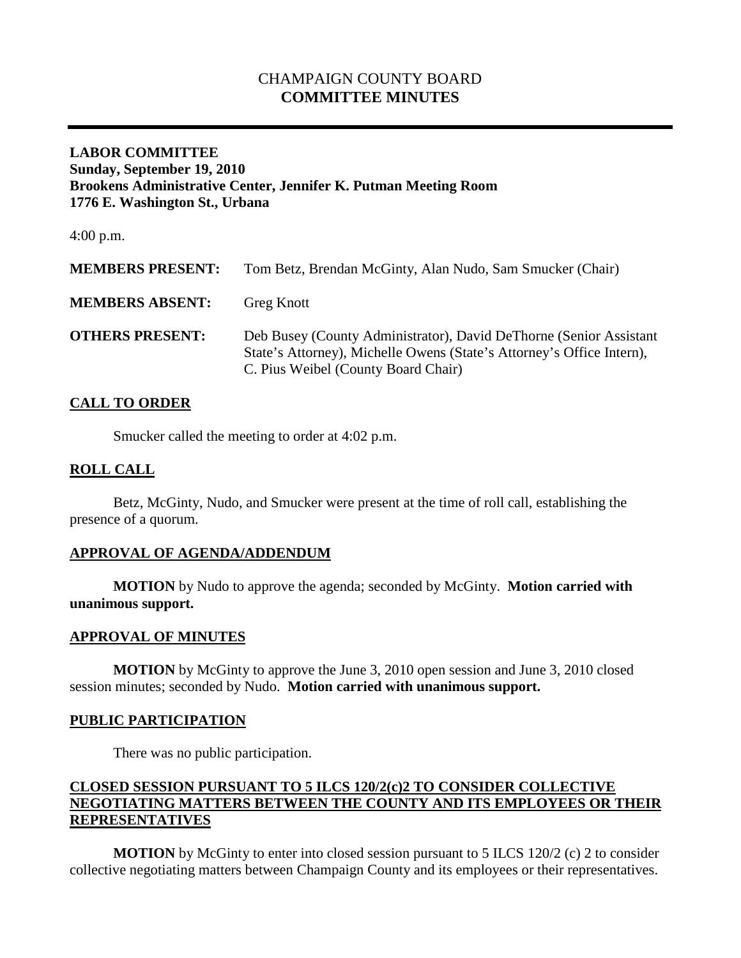# CHAMPAIGN COUNTY BOARD **COMMITTEE MINUTES**

## **LABOR COMMITTEE Sunday, September 19, 2010 Brookens Administrative Center, Jennifer K. Putman Meeting Room 1776 E. Washington St., Urbana**

4:00 p.m.

| <b>MEMBERS PRESENT:</b> | Tom Betz, Brendan McGinty, Alan Nudo, Sam Smucker (Chair)                                                                                                                          |
|-------------------------|------------------------------------------------------------------------------------------------------------------------------------------------------------------------------------|
| <b>MEMBERS ABSENT:</b>  | <b>Greg Knott</b>                                                                                                                                                                  |
| <b>OTHERS PRESENT:</b>  | Deb Busey (County Administrator), David DeThorne (Senior Assistant<br>State's Attorney), Michelle Owens (State's Attorney's Office Intern),<br>C. Pius Weibel (County Board Chair) |

## **CALL TO ORDER**

Smucker called the meeting to order at 4:02 p.m.

## **ROLL CALL**

Betz, McGinty, Nudo, and Smucker were present at the time of roll call, establishing the presence of a quorum.

## **APPROVAL OF AGENDA/ADDENDUM**

**MOTION** by Nudo to approve the agenda; seconded by McGinty. **Motion carried with unanimous support.**

#### **APPROVAL OF MINUTES**

**MOTION** by McGinty to approve the June 3, 2010 open session and June 3, 2010 closed session minutes; seconded by Nudo. **Motion carried with unanimous support.**

#### **PUBLIC PARTICIPATION**

There was no public participation.

## **CLOSED SESSION PURSUANT TO 5 ILCS 120/2(c)2 TO CONSIDER COLLECTIVE NEGOTIATING MATTERS BETWEEN THE COUNTY AND ITS EMPLOYEES OR THEIR REPRESENTATIVES**

**MOTION** by McGinty to enter into closed session pursuant to 5 ILCS 120/2 (c) 2 to consider collective negotiating matters between Champaign County and its employees or their representatives.